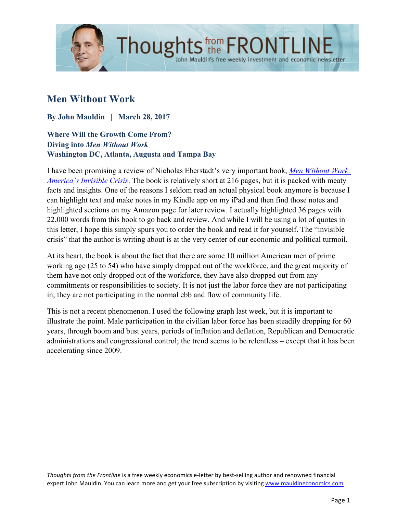

# **Men Without Work**

**By John Mauldin | March 28, 2017**

# **Where Will the Growth Come From? Diving into** *Men Without Work* **Washington DC, Atlanta, Augusta and Tampa Bay**

[I have been promising a review of Nicholas Eberstadt's very important book,](https://www.amazon.com/dp/B01LYILMQ0/ref=dp-kindle-redirect?_encoding=UTF8&btkr=1) *Men Without Work: America's Invisible Crisis*. The book is relatively short at 216 pages, but it is packed with meaty facts and insights. One of the reasons I seldom read an actual physical book anymore is because I can highlight text and make notes in my Kindle app on my iPad and then find those notes and highlighted sections on my Amazon page for later review. I actually highlighted 36 pages with 22,000 words from this book to go back and review. And while I will be using a lot of quotes in this letter, I hope this simply spurs you to order the book and read it for yourself. The "invisible crisis" that the author is writing about is at the very center of our economic and political turmoil.

John Mauldin's free weekly investment and economic newsletter

At its heart, the book is about the fact that there are some 10 million American men of prime working age (25 to 54) who have simply dropped out of the workforce, and the great majority of them have not only dropped out of the workforce, they have also dropped out from any commitments or responsibilities to society. It is not just the labor force they are not participating in; they are not participating in the normal ebb and flow of community life.

This is not a recent phenomenon. I used the following graph last week, but it is important to illustrate the point. Male participation in the civilian labor force has been steadily dropping for 60 years, through boom and bust years, periods of inflation and deflation, Republican and Democratic administrations and congressional control; the trend seems to be relentless – except that it has been accelerating since 2009.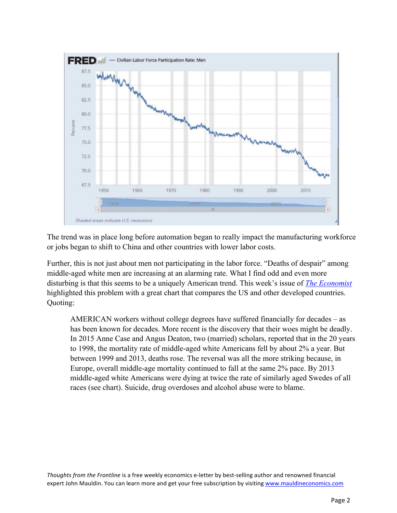

The trend was in place long before automation began to really impact the manufacturing workforce or jobs began to shift to China and other countries with lower labor costs.

Further, this is not just about men not participating in the labor force. "Deaths of despair" among middle-aged white men are increasing at an alarming rate. What I find odd and even more disturbing is that this seems to be a uniquely American trend. This week's issue of *[The Economist](http://www.economist.com/news/finance-and-economics/21719428-new-research-shows-mortality-middle-aged-whites-continues-rise-economic?cid1=cust/ddnew/n/n/n/20170323n/owned/n/n/nwl/n/n/NA/email)* highlighted this problem with a great chart that compares the US and other developed countries. Quoting:

AMERICAN workers without college degrees have suffered financially for decades – as has been known for decades. More recent is the discovery that their woes might be deadly. In 2015 Anne Case and Angus Deaton, two (married) scholars, reported that in the 20 years to 1998, the mortality rate of middle-aged white Americans fell by about 2% a year. But between 1999 and 2013, deaths rose. The reversal was all the more striking because, in Europe, overall middle-age mortality continued to fall at the same 2% pace. By 2013 middle-aged white Americans were dying at twice the rate of similarly aged Swedes of all races (see chart). Suicide, drug overdoses and alcohol abuse were to blame.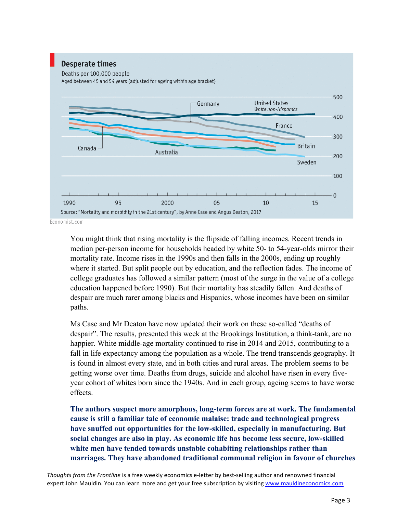# **Desperate times**

Deaths per 100,000 people

Aged between 45 and 54 years (adjusted for ageing within age bracket)



Economist.com

You might think that rising mortality is the flipside of falling incomes. Recent trends in median per-person income for households headed by white 50- to 54-year-olds mirror their mortality rate. Income rises in the 1990s and then falls in the 2000s, ending up roughly where it started. But split people out by education, and the reflection fades. The income of college graduates has followed a similar pattern (most of the surge in the value of a college education happened before 1990). But their mortality has steadily fallen. And deaths of despair are much rarer among blacks and Hispanics, whose incomes have been on similar paths.

Ms Case and Mr Deaton have now updated their work on these so-called "deaths of despair". The results, presented this week at the Brookings Institution, a think-tank, are no happier. White middle-age mortality continued to rise in 2014 and 2015, contributing to a fall in life expectancy among the population as a whole. The trend transcends geography. It is found in almost every state, and in both cities and rural areas. The problem seems to be getting worse over time. Deaths from drugs, suicide and alcohol have risen in every fiveyear cohort of whites born since the 1940s. And in each group, ageing seems to have worse effects.

**The authors suspect more amorphous, long-term forces are at work. The fundamental cause is still a familiar tale of economic malaise: trade and technological progress have snuffed out opportunities for the low-skilled, especially in manufacturing. But social changes are also in play. As economic life has become less secure, low-skilled white men have tended towards unstable cohabiting relationships rather than marriages. They have abandoned traditional communal religion in favour of churches**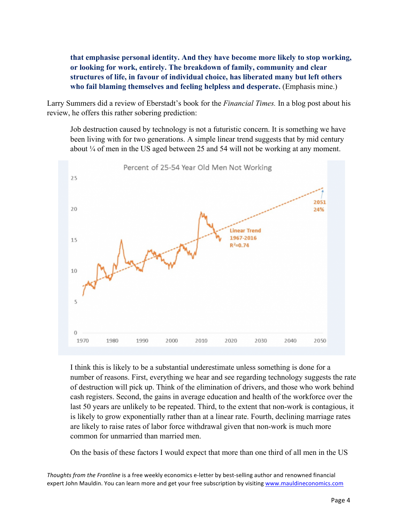**that emphasise personal identity. And they have become more likely to stop working, or looking for work, entirely. The breakdown of family, community and clear structures of life, in favour of individual choice, has liberated many but left others who fail blaming themselves and feeling helpless and desperate.** (Emphasis mine.)

Larry Summers did a review of Eberstadt's book for the *Financial Times.* In a blog post about his review, he offers this rather sobering prediction:

Job destruction caused by technology is not a futuristic concern. It is something we have been living with for two generations. A simple linear trend suggests that by mid century about ¼ of men in the US aged between 25 and 54 will not be working at any moment.



I think this is likely to be a substantial underestimate unless something is done for a number of reasons. First, everything we hear and see regarding technology suggests the rate of destruction will pick up. Think of the elimination of drivers, and those who work behind cash registers. Second, the gains in average education and health of the workforce over the last 50 years are unlikely to be repeated. Third, to the extent that non-work is contagious, it is likely to grow exponentially rather than at a linear rate. Fourth, declining marriage rates are likely to raise rates of labor force withdrawal given that non-work is much more common for unmarried than married men.

On the basis of these factors I would expect that more than one third of all men in the US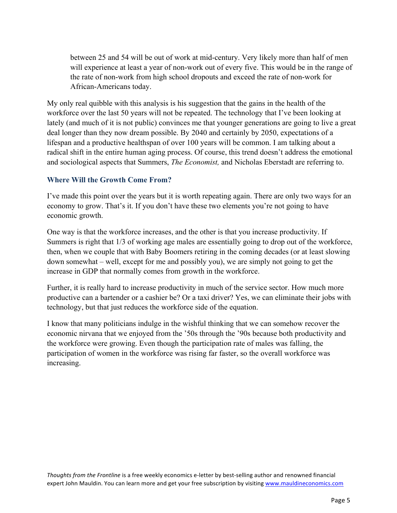between 25 and 54 will be out of work at mid-century. Very likely more than half of men will experience at least a year of non-work out of every five. This would be in the range of the rate of non-work from high school dropouts and exceed the rate of non-work for African-Americans today.

My only real quibble with this analysis is his suggestion that the gains in the health of the workforce over the last 50 years will not be repeated. The technology that I've been looking at lately (and much of it is not public) convinces me that younger generations are going to live a great deal longer than they now dream possible. By 2040 and certainly by 2050, expectations of a lifespan and a productive healthspan of over 100 years will be common. I am talking about a radical shift in the entire human aging process. Of course, this trend doesn't address the emotional and sociological aspects that Summers, *The Economist,* and Nicholas Eberstadt are referring to.

#### **Where Will the Growth Come From?**

I've made this point over the years but it is worth repeating again. There are only two ways for an economy to grow. That's it. If you don't have these two elements you're not going to have economic growth.

One way is that the workforce increases, and the other is that you increase productivity. If Summers is right that 1/3 of working age males are essentially going to drop out of the workforce, then, when we couple that with Baby Boomers retiring in the coming decades (or at least slowing down somewhat – well, except for me and possibly you), we are simply not going to get the increase in GDP that normally comes from growth in the workforce.

Further, it is really hard to increase productivity in much of the service sector. How much more productive can a bartender or a cashier be? Or a taxi driver? Yes, we can eliminate their jobs with technology, but that just reduces the workforce side of the equation.

I know that many politicians indulge in the wishful thinking that we can somehow recover the economic nirvana that we enjoyed from the '50s through the '90s because both productivity and the workforce were growing. Even though the participation rate of males was falling, the participation of women in the workforce was rising far faster, so the overall workforce was increasing.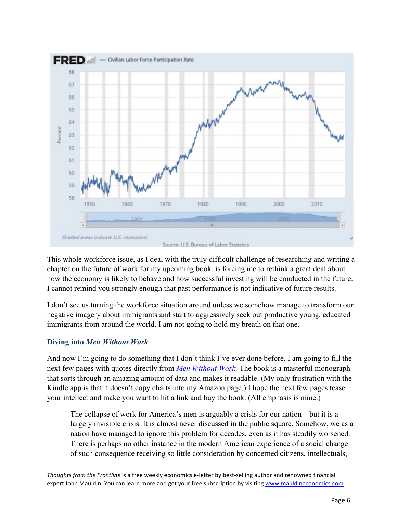

This whole workforce issue, as I deal with the truly difficult challenge of researching and writing a chapter on the future of work for my upcoming book, is forcing me to rethink a great deal about how the economy is likely to behave and how successful investing will be conducted in the future. I cannot remind you strongly enough that past performance is not indicative of future results.

I don't see us turning the workforce situation around unless we somehow manage to transform our negative imagery about immigrants and start to aggressively seek out productive young, educated immigrants from around the world. I am not going to hold my breath on that one.

## **Diving into** *Men Without Work*

And now I'm going to do something that I don't think I've ever done before. I am going to fill the next few pages with quotes directly from *[Men Without Work.](https://www.amazon.com/dp/B01LYILMQ0/ref=dp-kindle-redirect?_encoding=UTF8&btkr=1)* The book is a masterful monograph that sorts through an amazing amount of data and makes it readable. (My only frustration with the Kindle app is that it doesn't copy charts into my Amazon page.) I hope the next few pages tease your intellect and make you want to hit a link and buy the book. (All emphasis is mine.)

The collapse of work for America's men is arguably a crisis for our nation – but it is a largely invisible crisis. It is almost never discussed in the public square. Somehow, we as a nation have managed to ignore this problem for decades, even as it has steadily worsened. There is perhaps no other instance in the modern American experience of a social change of such consequence receiving so little consideration by concerned citizens, intellectuals,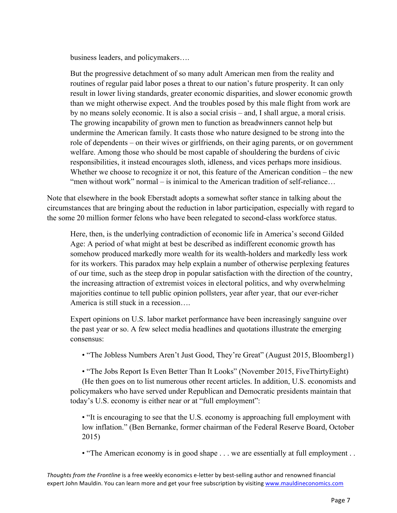business leaders, and policymakers….

But the progressive detachment of so many adult American men from the reality and routines of regular paid labor poses a threat to our nation's future prosperity. It can only result in lower living standards, greater economic disparities, and slower economic growth than we might otherwise expect. And the troubles posed by this male flight from work are by no means solely economic. It is also a social crisis – and, I shall argue, a moral crisis. The growing incapability of grown men to function as breadwinners cannot help but undermine the American family. It casts those who nature designed to be strong into the role of dependents – on their wives or girlfriends, on their aging parents, or on government welfare. Among those who should be most capable of shouldering the burdens of civic responsibilities, it instead encourages sloth, idleness, and vices perhaps more insidious. Whether we choose to recognize it or not, this feature of the American condition – the new "men without work" normal – is inimical to the American tradition of self-reliance…

Note that elsewhere in the book Eberstadt adopts a somewhat softer stance in talking about the circumstances that are bringing about the reduction in labor participation, especially with regard to the some 20 million former felons who have been relegated to second-class workforce status.

Here, then, is the underlying contradiction of economic life in America's second Gilded Age: A period of what might at best be described as indifferent economic growth has somehow produced markedly more wealth for its wealth-holders and markedly less work for its workers. This paradox may help explain a number of otherwise perplexing features of our time, such as the steep drop in popular satisfaction with the direction of the country, the increasing attraction of extremist voices in electoral politics, and why overwhelming majorities continue to tell public opinion pollsters, year after year, that our ever-richer America is still stuck in a recession….

Expert opinions on U.S. labor market performance have been increasingly sanguine over the past year or so. A few select media headlines and quotations illustrate the emerging consensus:

• "The Jobless Numbers Aren't Just Good, They're Great" (August 2015, Bloomberg1)

• "The Jobs Report Is Even Better Than It Looks" (November 2015, FiveThirtyEight) (He then goes on to list numerous other recent articles. In addition, U.S. economists and policymakers who have served under Republican and Democratic presidents maintain that today's U.S. economy is either near or at "full employment":

• "It is encouraging to see that the U.S. economy is approaching full employment with low inflation." (Ben Bernanke, former chairman of the Federal Reserve Board, October 2015)

• "The American economy is in good shape . . . we are essentially at full employment . .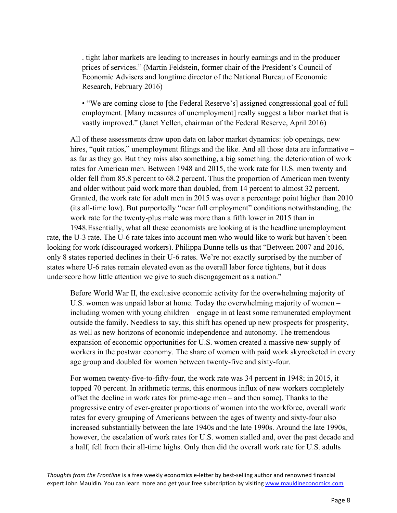. tight labor markets are leading to increases in hourly earnings and in the producer prices of services." (Martin Feldstein, former chair of the President's Council of Economic Advisers and longtime director of the National Bureau of Economic Research, February 2016)

• "We are coming close to [the Federal Reserve's] assigned congressional goal of full employment. [Many measures of unemployment] really suggest a labor market that is vastly improved." (Janet Yellen, chairman of the Federal Reserve, April 2016)

All of these assessments draw upon data on labor market dynamics: job openings, new hires, "quit ratios," unemployment filings and the like. And all those data are informative – as far as they go. But they miss also something, a big something: the deterioration of work rates for American men. Between 1948 and 2015, the work rate for U.S. men twenty and older fell from 85.8 percent to 68.2 percent. Thus the proportion of American men twenty and older without paid work more than doubled, from 14 percent to almost 32 percent. Granted, the work rate for adult men in 2015 was over a percentage point higher than 2010 (its all-time low). But purportedly "near full employment" conditions notwithstanding, the work rate for the twenty-plus male was more than a fifth lower in 2015 than in

1948.Essentially, what all these economists are looking at is the headline unemployment rate, the U-3 rate. The U-6 rate takes into account men who would like to work but haven't been looking for work (discouraged workers). Philippa Dunne tells us that "Between 2007 and 2016, only 8 states reported declines in their U-6 rates. We're not exactly surprised by the number of states where U-6 rates remain elevated even as the overall labor force tightens, but it does underscore how little attention we give to such disengagement as a nation."

Before World War II, the exclusive economic activity for the overwhelming majority of U.S. women was unpaid labor at home. Today the overwhelming majority of women – including women with young children – engage in at least some remunerated employment outside the family. Needless to say, this shift has opened up new prospects for prosperity, as well as new horizons of economic independence and autonomy. The tremendous expansion of economic opportunities for U.S. women created a massive new supply of workers in the postwar economy. The share of women with paid work skyrocketed in every age group and doubled for women between twenty-five and sixty-four.

For women twenty-five-to-fifty-four, the work rate was 34 percent in 1948; in 2015, it topped 70 percent. In arithmetic terms, this enormous influx of new workers completely offset the decline in work rates for prime-age men – and then some). Thanks to the progressive entry of ever-greater proportions of women into the workforce, overall work rates for every grouping of Americans between the ages of twenty and sixty-four also increased substantially between the late 1940s and the late 1990s. Around the late 1990s, however, the escalation of work rates for U.S. women stalled and, over the past decade and a half, fell from their all-time highs. Only then did the overall work rate for U.S. adults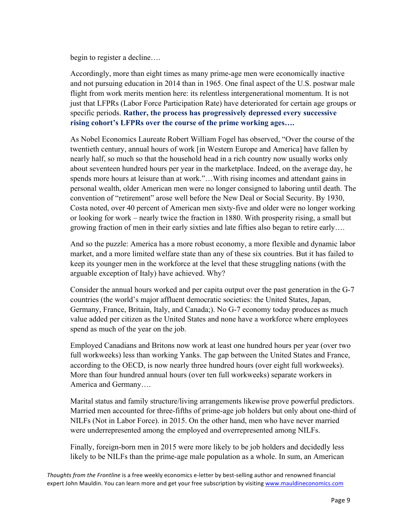begin to register a decline….

Accordingly, more than eight times as many prime-age men were economically inactive and not pursuing education in 2014 than in 1965. One final aspect of the U.S. postwar male flight from work merits mention here: its relentless intergenerational momentum. It is not just that LFPRs (Labor Force Participation Rate) have deteriorated for certain age groups or specific periods. **Rather, the process has progressively depressed every successive rising cohort's LFPRs over the course of the prime working ages….**

As Nobel Economics Laureate Robert William Fogel has observed, "Over the course of the twentieth century, annual hours of work [in Western Europe and America] have fallen by nearly half, so much so that the household head in a rich country now usually works only about seventeen hundred hours per year in the marketplace. Indeed, on the average day, he spends more hours at leisure than at work."…With rising incomes and attendant gains in personal wealth, older American men were no longer consigned to laboring until death. The convention of "retirement" arose well before the New Deal or Social Security. By 1930, Costa noted, over 40 percent of American men sixty-five and older were no longer working or looking for work – nearly twice the fraction in 1880. With prosperity rising, a small but growing fraction of men in their early sixties and late fifties also began to retire early….

And so the puzzle: America has a more robust economy, a more flexible and dynamic labor market, and a more limited welfare state than any of these six countries. But it has failed to keep its younger men in the workforce at the level that these struggling nations (with the arguable exception of Italy) have achieved. Why?

Consider the annual hours worked and per capita output over the past generation in the G-7 countries (the world's major affluent democratic societies: the United States, Japan, Germany, France, Britain, Italy, and Canada;). No G-7 economy today produces as much value added per citizen as the United States and none have a workforce where employees spend as much of the year on the job.

Employed Canadians and Britons now work at least one hundred hours per year (over two full workweeks) less than working Yanks. The gap between the United States and France, according to the OECD, is now nearly three hundred hours (over eight full workweeks). More than four hundred annual hours (over ten full workweeks) separate workers in America and Germany….

Marital status and family structure/living arrangements likewise prove powerful predictors. Married men accounted for three-fifths of prime-age job holders but only about one-third of NILFs (Not in Labor Force). in 2015. On the other hand, men who have never married were underrepresented among the employed and overrepresented among NILFs.

Finally, foreign-born men in 2015 were more likely to be job holders and decidedly less likely to be NILFs than the prime-age male population as a whole. In sum, an American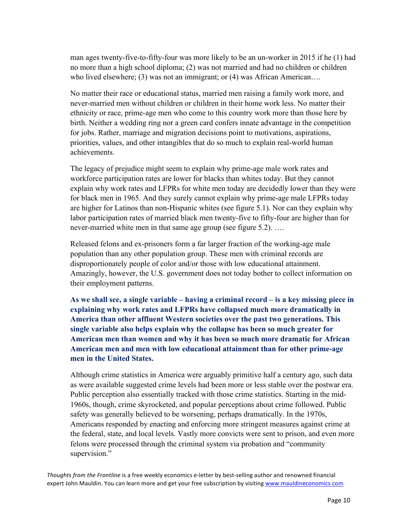man ages twenty-five-to-fifty-four was more likely to be an un-worker in 2015 if he (1) had no more than a high school diploma; (2) was not married and had no children or children who lived elsewhere; (3) was not an immigrant; or (4) was African American....

No matter their race or educational status, married men raising a family work more, and never-married men without children or children in their home work less. No matter their ethnicity or race, prime-age men who come to this country work more than those here by birth. Neither a wedding ring nor a green card confers innate advantage in the competition for jobs. Rather, marriage and migration decisions point to motivations, aspirations, priorities, values, and other intangibles that do so much to explain real-world human achievements.

The legacy of prejudice might seem to explain why prime-age male work rates and workforce participation rates are lower for blacks than whites today. But they cannot explain why work rates and LFPRs for white men today are decidedly lower than they were for black men in 1965. And they surely cannot explain why prime-age male LFPRs today are higher for Latinos than non-Hispanic whites (see figure 5.1). Nor can they explain why labor participation rates of married black men twenty-five to fifty-four are higher than for never-married white men in that same age group (see figure 5.2). ….

Released felons and ex-prisoners form a far larger fraction of the working-age male population than any other population group. These men with criminal records are disproportionately people of color and/or those with low educational attainment. Amazingly, however, the U.S. government does not today bother to collect information on their employment patterns.

**As we shall see, a single variable – having a criminal record – is a key missing piece in explaining why work rates and LFPRs have collapsed much more dramatically in America than other affluent Western societies over the past two generations. This single variable also helps explain why the collapse has been so much greater for American men than women and why it has been so much more dramatic for African American men and men with low educational attainment than for other prime-age men in the United States.**

Although crime statistics in America were arguably primitive half a century ago, such data as were available suggested crime levels had been more or less stable over the postwar era. Public perception also essentially tracked with those crime statistics. Starting in the mid-1960s, though, crime skyrocketed, and popular perceptions about crime followed. Public safety was generally believed to be worsening, perhaps dramatically. In the 1970s, Americans responded by enacting and enforcing more stringent measures against crime at the federal, state, and local levels. Vastly more convicts were sent to prison, and even more felons were processed through the criminal system via probation and "community supervision."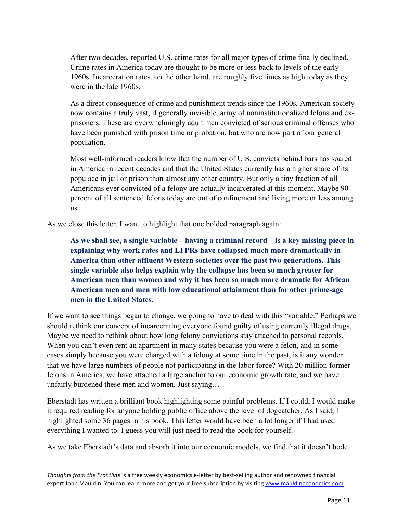After two decades, reported U.S. crime rates for all major types of crime finally declined. Crime rates in America today are thought to be more or less back to levels of the early 1960s. Incarceration rates, on the other hand, are roughly five times as high today as they were in the late 1960s.

As a direct consequence of crime and punishment trends since the 1960s, American society now contains a truly vast, if generally invisible, army of noninstitutionalized felons and exprisoners. These are overwhelmingly adult men convicted of serious criminal offenses who have been punished with prison time or probation, but who are now part of our general population.

Most well-informed readers know that the number of U.S. convicts behind bars has soared in America in recent decades and that the United States currently has a higher share of its populace in jail or prison than almost any other country. But only a tiny fraction of all Americans ever convicted of a felony are actually incarcerated at this moment. Maybe 90 percent of all sentenced felons today are out of confinement and living more or less among us.

As we close this letter, I want to highlight that one bolded paragraph again:

**As we shall see, a single variable – having a criminal record – is a key missing piece in explaining why work rates and LFPRs have collapsed much more dramatically in America than other affluent Western societies over the past two generations. This single variable also helps explain why the collapse has been so much greater for American men than women and why it has been so much more dramatic for African American men and men with low educational attainment than for other prime-age men in the United States.**

If we want to see things began to change, we going to have to deal with this "variable." Perhaps we should rethink our concept of incarcerating everyone found guilty of using currently illegal drugs. Maybe we need to rethink about how long felony convictions stay attached to personal records. When you can't even rent an apartment in many states because you were a felon, and in some cases simply because you were charged with a felony at some time in the past, is it any wonder that we have large numbers of people not participating in the labor force? With 20 million former felons in America, we have attached a large anchor to our economic growth rate, and we have unfairly burdened these men and women. Just saying…

Eberstadt has written a brilliant book highlighting some painful problems. If I could, I would make it required reading for anyone holding public office above the level of dogcatcher. As I said, I highlighted some 36 pages in his book. This letter would have been a lot longer if I had used everything I wanted to. I guess you will just need to read the book for yourself.

As we take Eberstadt's data and absorb it into our economic models, we find that it doesn't bode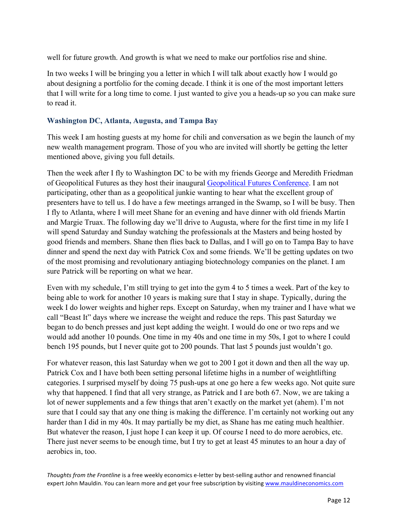well for future growth. And growth is what we need to make our portfolios rise and shine.

In two weeks I will be bringing you a letter in which I will talk about exactly how I would go about designing a portfolio for the coming decade. I think it is one of the most important letters that I will write for a long time to come. I just wanted to give you a heads-up so you can make sure to read it.

#### **Washington DC, Atlanta, Augusta, and Tampa Bay**

This week I am hosting guests at my home for chili and conversation as we begin the launch of my new wealth management program. Those of you who are invited will shortly be getting the letter mentioned above, giving you full details.

Then the week after I fly to Washington DC to be with my friends George and Meredith Friedman of Geopolitical Futures as they host their inaugural [Geopolitical Futures Conference.](http://info.geopoliticalfutures.com/gpf-2017-conference?utm_campaign=4%2F17 GPF Conference&utm_source=email&utm_content=170305 Mauldin Mention) I am not participating, other than as a geopolitical junkie wanting to hear what the excellent group of presenters have to tell us. I do have a few meetings arranged in the Swamp, so I will be busy. Then I fly to Atlanta, where I will meet Shane for an evening and have dinner with old friends Martin and Margie Truax. The following day we'll drive to Augusta, where for the first time in my life I will spend Saturday and Sunday watching the professionals at the Masters and being hosted by good friends and members. Shane then flies back to Dallas, and I will go on to Tampa Bay to have dinner and spend the next day with Patrick Cox and some friends. We'll be getting updates on two of the most promising and revolutionary antiaging biotechnology companies on the planet. I am sure Patrick will be reporting on what we hear.

Even with my schedule, I'm still trying to get into the gym 4 to 5 times a week. Part of the key to being able to work for another 10 years is making sure that I stay in shape. Typically, during the week I do lower weights and higher reps. Except on Saturday, when my trainer and I have what we call "Beast It" days where we increase the weight and reduce the reps. This past Saturday we began to do bench presses and just kept adding the weight. I would do one or two reps and we would add another 10 pounds. One time in my 40s and one time in my 50s, I got to where I could bench 195 pounds, but I never quite got to 200 pounds. That last 5 pounds just wouldn't go.

For whatever reason, this last Saturday when we got to 200 I got it down and then all the way up. Patrick Cox and I have both been setting personal lifetime highs in a number of weightlifting categories. I surprised myself by doing 75 push-ups at one go here a few weeks ago. Not quite sure why that happened. I find that all very strange, as Patrick and I are both 67. Now, we are taking a lot of newer supplements and a few things that aren't exactly on the market yet (ahem). I'm not sure that I could say that any one thing is making the difference. I'm certainly not working out any harder than I did in my 40s. It may partially be my diet, as Shane has me eating much healthier. But whatever the reason, I just hope I can keep it up. Of course I need to do more aerobics, etc. There just never seems to be enough time, but I try to get at least 45 minutes to an hour a day of aerobics in, too.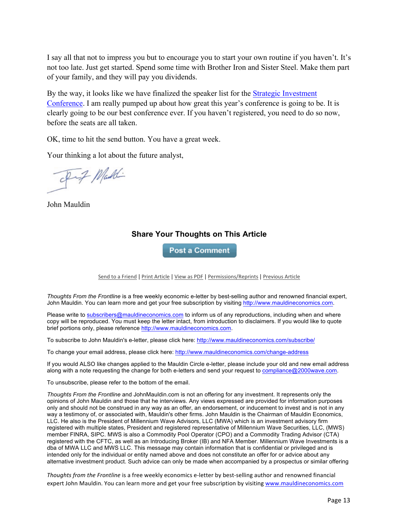I say all that not to impress you but to encourage you to start your own routine if you haven't. It's not too late. Just get started. Spend some time with Brother Iron and Sister Steel. Make them part of your family, and they will pay you dividends.

By the way, it looks like we have finalized the speaker list for the Strategic Investment [Conference. I am really pumped up about how great this year's conference is going to be](http://www.mauldineconomics.com/go/v34h26/MEC). It is clearly going to be our best conference ever. If you haven't registered, you need to do so now, before the seats are all taken.

OK, time to hit the send button. You have a great week.

Your thinking a lot about the future analyst,

Inf Maddi

John Mauldin

## **Share Your Thoughts on This Article**

**Post a Comment** 

Send to a Friend | Print Article | View as PDF | Permissions/Reprints | Previous Article

*Thoughts From the Frontline* is a free weekly economic e-letter by best-selling author and renowned financial expert, John Mauldin. You can learn more and get your free subscription by visiting http://www.mauldineconomics.com.

Please write to subscribers@mauldineconomics.com to inform us of any reproductions, including when and where copy will be reproduced. You must keep the letter intact, from introduction to disclaimers. If you would like to quote brief portions only, please reference http://www.mauldineconomics.com.

To subscribe to John Mauldin's e-letter, please click here: http://www.mauldineconomics.com/subscribe/

To change your email address, please click here: http://www.mauldineconomics.com/change-address

If you would ALSO like changes applied to the Mauldin Circle e-letter, please include your old and new email address along with a note requesting the change for both e-letters and send your request to compliance@2000wave.com.

To unsubscribe, please refer to the bottom of the email.

*Thoughts From the Frontline* and JohnMauldin.com is not an offering for any investment. It represents only the opinions of John Mauldin and those that he interviews. Any views expressed are provided for information purposes only and should not be construed in any way as an offer, an endorsement, or inducement to invest and is not in any way a testimony of, or associated with, Mauldin's other firms. John Mauldin is the Chairman of Mauldin Economics, LLC. He also is the President of Millennium Wave Advisors, LLC (MWA) which is an investment advisory firm registered with multiple states, President and registered representative of Millennium Wave Securities, LLC, (MWS) member FINRA, SIPC. MWS is also a Commodity Pool Operator (CPO) and a Commodity Trading Advisor (CTA) registered with the CFTC, as well as an Introducing Broker (IB) and NFA Member. Millennium Wave Investments is a dba of MWA LLC and MWS LLC. This message may contain information that is confidential or privileged and is intended only for the individual or entity named above and does not constitute an offer for or advice about any alternative investment product. Such advice can only be made when accompanied by a prospectus or similar offering